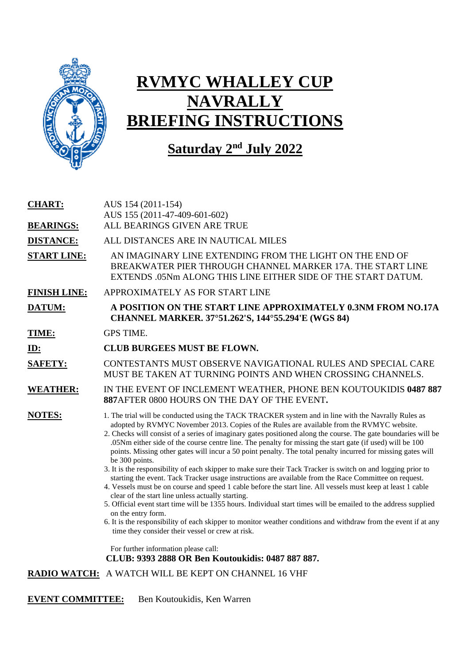

# **RVMYC WHALLEY CUP NAVRALLY BRIEFING INSTRUCTIONS**

### **Saturday 2nd July 2022**

| <b>CHART:</b><br><b>BEARINGS:</b> | AUS 154 (2011-154)<br>AUS 155 (2011-47-409-601-602)<br>ALL BEARINGS GIVEN ARE TRUE                                                                                                                                                                                                                                                                                                                                                                                                                                                                                                                                                                                                                                                                                                                                                                                                                                                                                                                                                                                                                                                                                                                                                                                                                                       |
|-----------------------------------|--------------------------------------------------------------------------------------------------------------------------------------------------------------------------------------------------------------------------------------------------------------------------------------------------------------------------------------------------------------------------------------------------------------------------------------------------------------------------------------------------------------------------------------------------------------------------------------------------------------------------------------------------------------------------------------------------------------------------------------------------------------------------------------------------------------------------------------------------------------------------------------------------------------------------------------------------------------------------------------------------------------------------------------------------------------------------------------------------------------------------------------------------------------------------------------------------------------------------------------------------------------------------------------------------------------------------|
| <b>DISTANCE:</b>                  | ALL DISTANCES ARE IN NAUTICAL MILES                                                                                                                                                                                                                                                                                                                                                                                                                                                                                                                                                                                                                                                                                                                                                                                                                                                                                                                                                                                                                                                                                                                                                                                                                                                                                      |
| <b>START LINE:</b>                | AN IMAGINARY LINE EXTENDING FROM THE LIGHT ON THE END OF<br>BREAKWATER PIER THROUGH CHANNEL MARKER 17A. THE START LINE<br>EXTENDS .05Nm ALONG THIS LINE EITHER SIDE OF THE START DATUM.                                                                                                                                                                                                                                                                                                                                                                                                                                                                                                                                                                                                                                                                                                                                                                                                                                                                                                                                                                                                                                                                                                                                  |
| <b>FINISH LINE:</b>               | APPROXIMATELY AS FOR START LINE                                                                                                                                                                                                                                                                                                                                                                                                                                                                                                                                                                                                                                                                                                                                                                                                                                                                                                                                                                                                                                                                                                                                                                                                                                                                                          |
| DATUM:                            | A POSITION ON THE START LINE APPROXIMATELY 0.3NM FROM NO.17A<br>CHANNEL MARKER. 37°51.262'S, 144°55.294'E (WGS 84)                                                                                                                                                                                                                                                                                                                                                                                                                                                                                                                                                                                                                                                                                                                                                                                                                                                                                                                                                                                                                                                                                                                                                                                                       |
| TIME:                             | <b>GPS TIME.</b>                                                                                                                                                                                                                                                                                                                                                                                                                                                                                                                                                                                                                                                                                                                                                                                                                                                                                                                                                                                                                                                                                                                                                                                                                                                                                                         |
| $ID$ :                            | <b>CLUB BURGEES MUST BE FLOWN.</b>                                                                                                                                                                                                                                                                                                                                                                                                                                                                                                                                                                                                                                                                                                                                                                                                                                                                                                                                                                                                                                                                                                                                                                                                                                                                                       |
| <b>SAFETY:</b>                    | CONTESTANTS MUST OBSERVE NAVIGATIONAL RULES AND SPECIAL CARE<br>MUST BE TAKEN AT TURNING POINTS AND WHEN CROSSING CHANNELS.                                                                                                                                                                                                                                                                                                                                                                                                                                                                                                                                                                                                                                                                                                                                                                                                                                                                                                                                                                                                                                                                                                                                                                                              |
| <b>WEATHER:</b>                   | IN THE EVENT OF INCLEMENT WEATHER, PHONE BEN KOUTOUKIDIS 0487 887<br>887 AFTER 0800 HOURS ON THE DAY OF THE EVENT.                                                                                                                                                                                                                                                                                                                                                                                                                                                                                                                                                                                                                                                                                                                                                                                                                                                                                                                                                                                                                                                                                                                                                                                                       |
| <b>NOTES:</b>                     | 1. The trial will be conducted using the TACK TRACKER system and in line with the Navrally Rules as<br>adopted by RVMYC November 2013. Copies of the Rules are available from the RVMYC website.<br>2. Checks will consist of a series of imaginary gates positioned along the course. The gate boundaries will be<br>.05Nm either side of the course centre line. The penalty for missing the start gate (if used) will be 100<br>points. Missing other gates will incur a 50 point penalty. The total penalty incurred for missing gates will<br>be 300 points.<br>3. It is the responsibility of each skipper to make sure their Tack Tracker is switch on and logging prior to<br>starting the event. Tack Tracker usage instructions are available from the Race Committee on request.<br>4. Vessels must be on course and speed 1 cable before the start line. All vessels must keep at least 1 cable<br>clear of the start line unless actually starting.<br>5. Official event start time will be 1355 hours. Individual start times will be emailed to the address supplied<br>on the entry form.<br>6. It is the responsibility of each skipper to monitor weather conditions and withdraw from the event if at any<br>time they consider their vessel or crew at risk.<br>For further information please call: |
|                                   | CLUB: 9393 2888 OR Ben Koutoukidis: 0487 887 887.                                                                                                                                                                                                                                                                                                                                                                                                                                                                                                                                                                                                                                                                                                                                                                                                                                                                                                                                                                                                                                                                                                                                                                                                                                                                        |
|                                   | RADIO WATCH: A WATCH WILL BE KEPT ON CHANNEL 16 VHF                                                                                                                                                                                                                                                                                                                                                                                                                                                                                                                                                                                                                                                                                                                                                                                                                                                                                                                                                                                                                                                                                                                                                                                                                                                                      |

**EVENT COMMITTEE:** Ben Koutoukidis, Ken Warren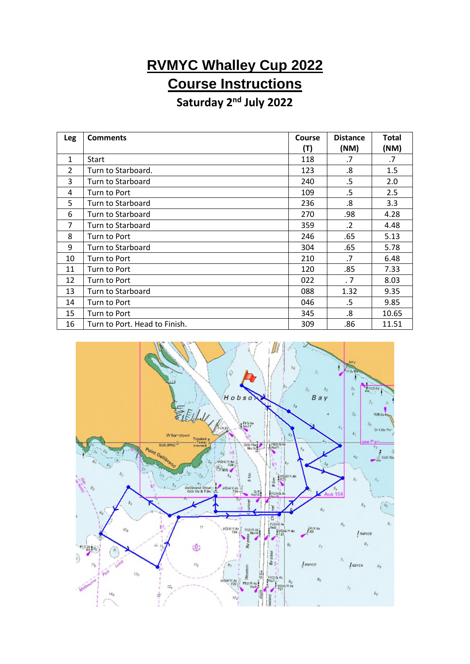## **RVMYC Whalley Cup 2022 Course Instructions**

#### **Saturday 2nd July 2022**

| Leg            | <b>Comments</b>               | Course<br>(T) | <b>Distance</b><br>(NM) | Total<br>(NM) |
|----------------|-------------------------------|---------------|-------------------------|---------------|
| $\mathbf{1}$   | Start                         | 118           | .7                      | .7            |
| $\overline{2}$ | Turn to Starboard.            | 123           | .8                      | 1.5           |
| 3              | Turn to Starboard             | 240           | .5                      | 2.0           |
| 4              | Turn to Port                  | 109           | .5                      | 2.5           |
| 5              | Turn to Starboard             | 236           | .8                      | 3.3           |
| 6              | Turn to Starboard             | 270           | .98                     | 4.28          |
| 7              | Turn to Starboard             | 359           | .2                      | 4.48          |
| 8              | Turn to Port                  | 246           | .65                     | 5.13          |
| 9              | Turn to Starboard             | 304           | .65                     | 5.78          |
| 10             | Turn to Port                  | 210           | .7                      | 6.48          |
| 11             | Turn to Port                  | 120           | .85                     | 7.33          |
| 12             | Turn to Port                  | 022           | .7                      | 8.03          |
| 13             | Turn to Starboard             | 088           | 1.32                    | 9.35          |
| 14             | Turn to Port                  | 046           | .5                      | 9.85          |
| 15             | Turn to Port                  | 345           | .8                      | 10.65         |
| 16             | Turn to Port. Head to Finish. | 309           | .86                     | 11.51         |